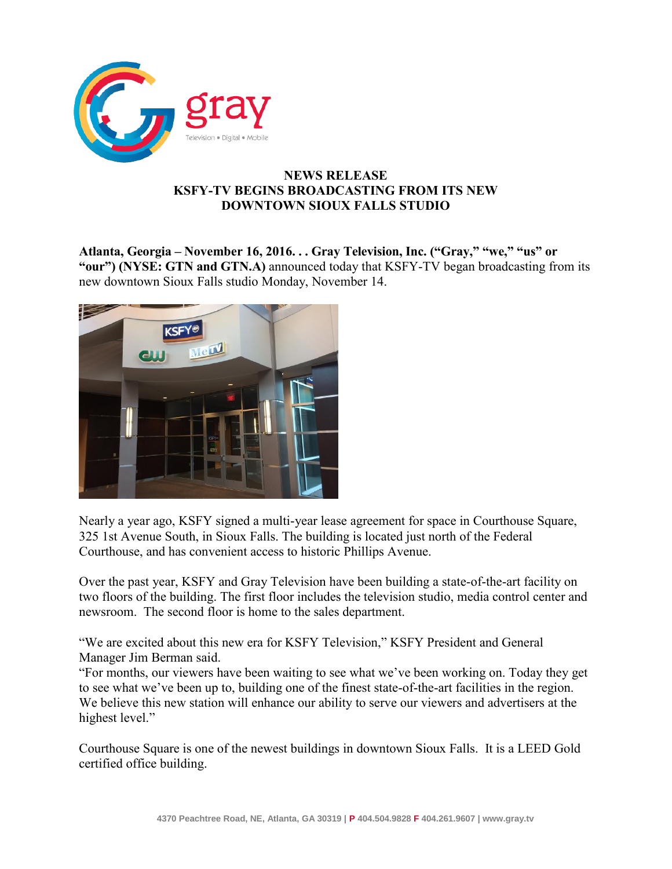

## **NEWS RELEASE KSFY-TV BEGINS BROADCASTING FROM ITS NEW DOWNTOWN SIOUX FALLS STUDIO**

**Atlanta, Georgia – November 16, 2016. . . Gray Television, Inc. ("Gray," "we," "us" or "our") (NYSE: GTN and GTN.A)** announced today that KSFY-TV began broadcasting from its new downtown Sioux Falls studio Monday, November 14.



Nearly a year ago, KSFY signed a multi-year lease agreement for space in Courthouse Square, 325 1st Avenue South, in Sioux Falls. The building is located just north of the Federal Courthouse, and has convenient access to historic Phillips Avenue.

Over the past year, KSFY and Gray Television have been building a state-of-the-art facility on two floors of the building. The first floor includes the television studio, media control center and newsroom. The second floor is home to the sales department.

"We are excited about this new era for KSFY Television," KSFY President and General Manager Jim Berman said.

"For months, our viewers have been waiting to see what we've been working on. Today they get to see what we've been up to, building one of the finest state-of-the-art facilities in the region. We believe this new station will enhance our ability to serve our viewers and advertisers at the highest level."

Courthouse Square is one of the newest buildings in downtown Sioux Falls. It is a LEED Gold certified office building.